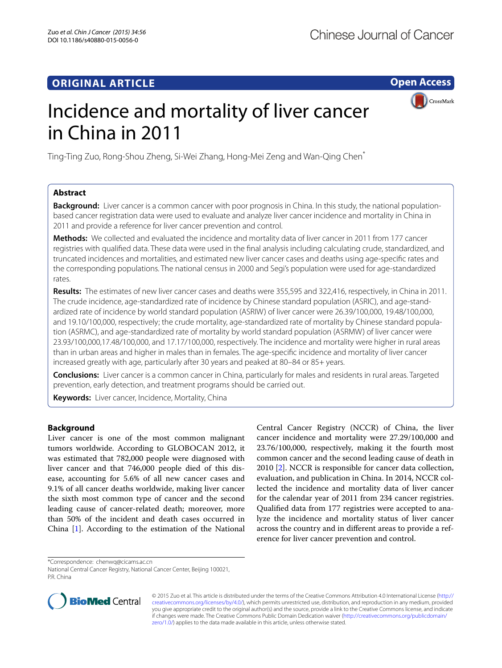# **ORIGINAL ARTICLE**

**Open Access**

**CrossMark** 

# Incidence and mortality of liver cancer in China in 2011

Ting‑Ting Zuo, Rong‑Shou Zheng, Si‑Wei Zhang, Hong‑Mei Zeng and Wan‑Qing Chen\*

# **Abstract**

**Background:** Liver cancer is a common cancer with poor prognosis in China. In this study, the national populationbased cancer registration data were used to evaluate and analyze liver cancer incidence and mortality in China in 2011 and provide a reference for liver cancer prevention and control.

**Methods:** We collected and evaluated the incidence and mortality data of liver cancer in 2011 from 177 cancer registries with qualified data. These data were used in the final analysis including calculating crude, standardized, and truncated incidences and mortalities, and estimated new liver cancer cases and deaths using age-specific rates and the corresponding populations. The national census in 2000 and Segi's population were used for age-standardized rates.

**Results:** The estimates of new liver cancer cases and deaths were 355,595 and 322,416, respectively, in China in 2011. The crude incidence, age-standardized rate of incidence by Chinese standard population (ASRIC), and age-standardized rate of incidence by world standard population (ASRIW) of liver cancer were 26.39/100,000, 19.48/100,000, and 19.10/100,000, respectively; the crude mortality, age-standardized rate of mortality by Chinese standard population (ASRMC), and age-standardized rate of mortality by world standard population (ASRMW) of liver cancer were 23.93/100,000,17.48/100,000, and 17.17/100,000, respectively. The incidence and mortality were higher in rural areas than in urban areas and higher in males than in females. The age-specific incidence and mortality of liver cancer increased greatly with age, particularly after 30 years and peaked at 80–84 or 85+ years.

**Conclusions:** Liver cancer is a common cancer in China, particularly for males and residents in rural areas. Targeted prevention, early detection, and treatment programs should be carried out.

**Keywords:** Liver cancer, Incidence, Mortality, China

### **Background**

Liver cancer is one of the most common malignant tumors worldwide. According to GLOBOCAN 2012, it was estimated that 782,000 people were diagnosed with liver cancer and that 746,000 people died of this disease, accounting for 5.6% of all new cancer cases and 9.1% of all cancer deaths worldwide, making liver cancer the sixth most common type of cancer and the second leading cause of cancer-related death; moreover, more than 50% of the incident and death cases occurred in China [[1](#page-4-0)]. According to the estimation of the National

Central Cancer Registry (NCCR) of China, the liver cancer incidence and mortality were 27.29/100,000 and 23.76/100,000, respectively, making it the fourth most common cancer and the second leading cause of death in 2010 [\[2](#page-4-1)]. NCCR is responsible for cancer data collection, evaluation, and publication in China. In 2014, NCCR collected the incidence and mortality data of liver cancer for the calendar year of 2011 from 234 cancer registries. Qualified data from 177 registries were accepted to analyze the incidence and mortality status of liver cancer across the country and in different areas to provide a reference for liver cancer prevention and control.

\*Correspondence: chenwq@cicams.ac.cn

National Central Cancer Registry, National Cancer Center, Beijing 100021, PR China



© 2015 Zuo et al. This article is distributed under the terms of the Creative Commons Attribution 4.0 International License [\(http://](http://creativecommons.org/licenses/by/4.0/) [creativecommons.org/licenses/by/4.0/](http://creativecommons.org/licenses/by/4.0/)), which permits unrestricted use, distribution, and reproduction in any medium, provided you give appropriate credit to the original author(s) and the source, provide a link to the Creative Commons license, and indicate if changes were made. The Creative Commons Public Domain Dedication waiver ([http://creativecommons.org/publicdomain/](http://creativecommons.org/publicdomain/zero/1.0/) [zero/1.0/](http://creativecommons.org/publicdomain/zero/1.0/)) applies to the data made available in this article, unless otherwise stated.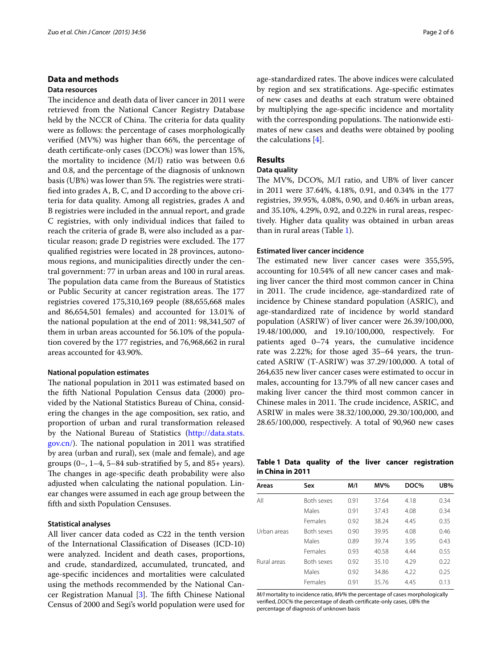#### **Data and methods**

#### **Data resources**

The incidence and death data of liver cancer in 2011 were retrieved from the National Cancer Registry Database held by the NCCR of China. The criteria for data quality were as follows: the percentage of cases morphologically verified (MV%) was higher than 66%, the percentage of death certificate-only cases (DCO%) was lower than 15%, the mortality to incidence (M/I) ratio was between 0.6 and 0.8, and the percentage of the diagnosis of unknown basis (UB%) was lower than 5%. The registries were stratified into grades A, B, C, and D according to the above criteria for data quality. Among all registries, grades A and B registries were included in the annual report, and grade C registries, with only individual indices that failed to reach the criteria of grade B, were also included as a particular reason; grade D registries were excluded. The 177 qualified registries were located in 28 provinces, autonomous regions, and municipalities directly under the central government: 77 in urban areas and 100 in rural areas. The population data came from the Bureaus of Statistics or Public Security at cancer registration areas. The 177 registries covered 175,310,169 people (88,655,668 males and 86,654,501 females) and accounted for 13.01% of the national population at the end of 2011: 98,341,507 of them in urban areas accounted for 56.10% of the population covered by the 177 registries, and 76,968,662 in rural areas accounted for 43.90%.

#### **National population estimates**

The national population in 2011 was estimated based on the fifth National Population Census data (2000) provided by the National Statistics Bureau of China, considering the changes in the age composition, sex ratio, and proportion of urban and rural transformation released by the National Bureau of Statistics [\(http://data.stats.](http://data.stats.gov.cn/) [gov.cn/](http://data.stats.gov.cn/)). The national population in 2011 was stratified by area (urban and rural), sex (male and female), and age groups (0–, 1–4, 5–84 sub-stratified by 5, and 85+ years). The changes in age-specific death probability were also adjusted when calculating the national population. Linear changes were assumed in each age group between the fifth and sixth Population Censuses.

#### **Statistical analyses**

All liver cancer data coded as C22 in the tenth version of the International Classification of Diseases (ICD-10) were analyzed. Incident and death cases, proportions, and crude, standardized, accumulated, truncated, and age-specific incidences and mortalities were calculated using the methods recommended by the National Cancer Registration Manual [[3\]](#page-4-2). The fifth Chinese National Census of 2000 and Segi's world population were used for

age-standardized rates. The above indices were calculated by region and sex stratifications. Age-specific estimates of new cases and deaths at each stratum were obtained by multiplying the age-specific incidence and mortality with the corresponding populations. The nationwide estimates of new cases and deaths were obtained by pooling the calculations [\[4](#page-4-3)].

#### **Results**

#### **Data quality**

The MV%, DCO%, M/I ratio, and UB% of liver cancer in 2011 were 37.64%, 4.18%, 0.91, and 0.34% in the 177 registries, 39.95%, 4.08%, 0.90, and 0.46% in urban areas, and 35.10%, 4.29%, 0.92, and 0.22% in rural areas, respectively. Higher data quality was obtained in urban areas than in rural areas (Table [1](#page-1-0)).

#### **Estimated liver cancer incidence**

The estimated new liver cancer cases were 355,595, accounting for 10.54% of all new cancer cases and making liver cancer the third most common cancer in China in 2011. The crude incidence, age-standardized rate of incidence by Chinese standard population (ASRIC), and age-standardized rate of incidence by world standard population (ASRIW) of liver cancer were 26.39/100,000, 19.48/100,000, and 19.10/100,000, respectively. For patients aged 0–74 years, the cumulative incidence rate was 2.22%; for those aged 35–64 years, the truncated ASRIW (T-ASRIW) was 37.29/100,000. A total of 264,635 new liver cancer cases were estimated to occur in males, accounting for 13.79% of all new cancer cases and making liver cancer the third most common cancer in Chinese males in 2011. The crude incidence, ASRIC, and ASRIW in males were 38.32/100,000, 29.30/100,000, and 28.65/100,000, respectively. A total of 90,960 new cases

#### <span id="page-1-0"></span>**Table 1 Data quality of the liver cancer registration in China in 2011**

| Areas       | Sex               | M/I  | MV%   | DOC% | UB%  |
|-------------|-------------------|------|-------|------|------|
| All         | <b>Both sexes</b> | 0.91 | 37.64 | 4.18 | 0.34 |
|             | Males             | 0.91 | 37.43 | 4.08 | 0.34 |
|             | Females           | 0.92 | 38.24 | 4.45 | 0.35 |
| Urban areas | <b>Both sexes</b> | 0.90 | 39.95 | 4.08 | 0.46 |
|             | Males             | 0.89 | 39.74 | 3.95 | 0.43 |
|             | Females           | 0.93 | 40.58 | 4.44 | 0.55 |
| Rural areas | <b>Both sexes</b> | 0.92 | 35.10 | 4.29 | 0.22 |
|             | Males             | 0.92 | 34.86 | 4.22 | 0.25 |
|             | Females           | 0.91 | 35.76 | 4.45 | 0.13 |

*M/I* mortality to incidence ratio, *MV%* the percentage of cases morphologically verified, *DOC%* the percentage of death certificate-only cases, *UB%* the percentage of diagnosis of unknown basis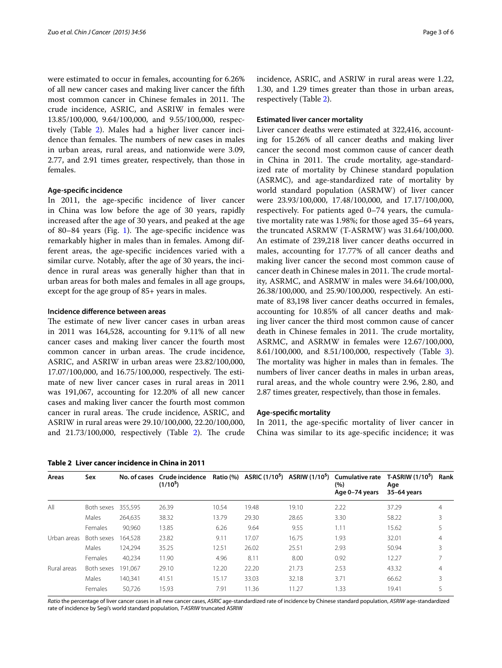were estimated to occur in females, accounting for 6.26% of all new cancer cases and making liver cancer the fifth most common cancer in Chinese females in 2011. The crude incidence, ASRIC, and ASRIW in females were 13.85/100,000, 9.64/100,000, and 9.55/100,000, respectively (Table [2](#page-2-0)). Males had a higher liver cancer incidence than females. The numbers of new cases in males in urban areas, rural areas, and nationwide were 3.09, 2.77, and 2.91 times greater, respectively, than those in females.

#### **Age‑specific incidence**

In 2011, the age-specific incidence of liver cancer in China was low before the age of 30 years, rapidly increased after the age of 30 years, and peaked at the age of 80–84 years (Fig. [1\)](#page-3-0). The age-specific incidence was remarkably higher in males than in females. Among different areas, the age-specific incidences varied with a similar curve. Notably, after the age of 30 years, the incidence in rural areas was generally higher than that in urban areas for both males and females in all age groups, except for the age group of 85+ years in males.

#### **Incidence difference between areas**

The estimate of new liver cancer cases in urban areas in 2011 was 164,528, accounting for 9.11% of all new cancer cases and making liver cancer the fourth most common cancer in urban areas. The crude incidence, ASRIC, and ASRIW in urban areas were 23.82/100,000, 17.07/100,000, and 16.75/100,000, respectively. The estimate of new liver cancer cases in rural areas in 2011 was 191,067, accounting for 12.20% of all new cancer cases and making liver cancer the fourth most common cancer in rural areas. The crude incidence, ASRIC, and ASRIW in rural areas were 29.10/100,000, 22.20/100,000, and 21.73/100,000, respectively (Table [2](#page-2-0)). The crude

<span id="page-2-0"></span>**Table 2 Liver cancer incidence in China in 2011**

incidence, ASRIC, and ASRIW in rural areas were 1.22, 1.30, and 1.29 times greater than those in urban areas, respectively (Table [2](#page-2-0)).

#### **Estimated liver cancer mortality**

Liver cancer deaths were estimated at 322,416, accounting for 15.26% of all cancer deaths and making liver cancer the second most common cause of cancer death in China in 2011. The crude mortality, age-standardized rate of mortality by Chinese standard population (ASRMC), and age-standardized rate of mortality by world standard population (ASRMW) of liver cancer were 23.93/100,000, 17.48/100,000, and 17.17/100,000, respectively. For patients aged 0–74 years, the cumulative mortality rate was 1.98%; for those aged 35–64 years, the truncated ASRMW (T-ASRMW) was 31.64/100,000. An estimate of 239,218 liver cancer deaths occurred in males, accounting for 17.77% of all cancer deaths and making liver cancer the second most common cause of cancer death in Chinese males in 2011. The crude mortality, ASRMC, and ASRMW in males were 34.64/100,000, 26.38/100,000, and 25.90/100,000, respectively. An estimate of 83,198 liver cancer deaths occurred in females, accounting for 10.85% of all cancer deaths and making liver cancer the third most common cause of cancer death in Chinese females in 2011. The crude mortality, ASRMC, and ASRMW in females were 12.67/100,000, 8.61/100,000, and 8.51/100,000, respectively (Table [3](#page-3-1)). The mortality was higher in males than in females. The numbers of liver cancer deaths in males in urban areas, rural areas, and the whole country were 2.96, 2.80, and 2.87 times greater, respectively, than those in females.

#### **Age‑specific mortality**

In 2011, the age-specific mortality of liver cancer in China was similar to its age-specific incidence; it was

| Areas       | Sex        | No. of cases | Crude incidence<br>(1/10 <sup>5</sup> ) |       |       | Ratio (%) ASRIC (1/10 <sup>5</sup> ) ASRIW (1/10 <sup>5</sup> ) | Cumulative rate T-ASRIW (1/10 <sup>5</sup> )<br>(%)<br>Age 0-74 years | Age<br>35-64 years | Rank |
|-------------|------------|--------------|-----------------------------------------|-------|-------|-----------------------------------------------------------------|-----------------------------------------------------------------------|--------------------|------|
| All         | Both sexes | 355.595      | 26.39                                   | 10.54 | 19.48 | 19.10                                                           | 2.22                                                                  | 37.29              | 4    |
|             | Males      | 264.635      | 38.32                                   | 13.79 | 29.30 | 28.65                                                           | 3.30                                                                  | 58.22              | 3    |
|             | Females    | 90.960       | 13.85                                   | 6.26  | 9.64  | 9.55                                                            | 1.11                                                                  | 15.62              | 5    |
| Urban areas | Both sexes | 164.528      | 23.82                                   | 9.11  | 17.07 | 16.75                                                           | 1.93                                                                  | 32.01              | 4    |
|             | Males      | 124.294      | 35.25                                   | 12.51 | 26.02 | 25.51                                                           | 2.93                                                                  | 50.94              | 3    |
|             | Females    | 40,234       | 11.90                                   | 4.96  | 8.11  | 8.00                                                            | 0.92                                                                  | 12.27              |      |
| Rural areas | Both sexes | 191.067      | 29.10                                   | 12.20 | 22.20 | 21.73                                                           | 2.53                                                                  | 43.32              | 4    |
|             | Males      | 140.341      | 41.51                                   | 15.17 | 33.03 | 32.18                                                           | 3.71                                                                  | 66.62              | 3    |
|             | Females    | 50.726       | 15.93                                   | 7.91  | 11.36 | 11.27                                                           | 1.33                                                                  | 19.41              | 5    |

*Ratio* the percentage of liver cancer cases in all new cancer cases, *ASRIC* age-standardized rate of incidence by Chinese standard population, *ASRIW* age-standardized rate of incidence by Segi's world standard population, *T-ASRIW* truncated ASRIW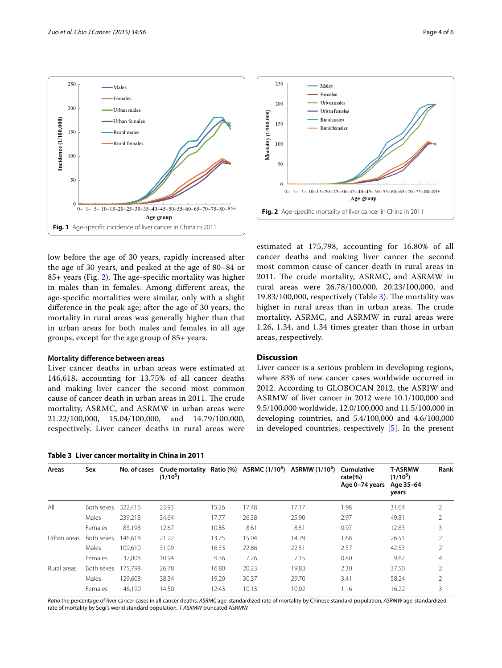



<span id="page-3-0"></span>low before the age of 30 years, rapidly increased after the age of 30 years, and peaked at the age of 80–84 or 85+ years (Fig. [2\)](#page-3-2). The age-specific mortality was higher in males than in females. Among different areas, the age-specific mortalities were similar, only with a slight difference in the peak age; after the age of 30 years, the mortality in rural areas was generally higher than that in urban areas for both males and females in all age groups, except for the age group of 85+ years.

#### **Mortality difference between areas**

Liver cancer deaths in urban areas were estimated at 146,618, accounting for 13.75% of all cancer deaths and making liver cancer the second most common cause of cancer death in urban areas in 2011. The crude mortality, ASRMC, and ASRMW in urban areas were 21.22/100,000, 15.04/100,000, and 14.79/100,000, respectively. Liver cancer deaths in rural areas were

<span id="page-3-1"></span>

|  | Table 3 Liver cancer mortality in China in 2011 |  |  |  |
|--|-------------------------------------------------|--|--|--|
|--|-------------------------------------------------|--|--|--|

<span id="page-3-2"></span>estimated at 175,798, accounting for 16.80% of all cancer deaths and making liver cancer the second most common cause of cancer death in rural areas in 2011. The crude mortality, ASRMC, and ASRMW in rural areas were 26.78/100,000, 20.23/100,000, and 19.83/100,000, respectively (Table [3](#page-3-1)). The mortality was higher in rural areas than in urban areas. The crude mortality, ASRMC, and ASRMW in rural areas were 1.26, 1.34, and 1.34 times greater than those in urban areas, respectively.

#### **Discussion**

Liver cancer is a serious problem in developing regions, where 83% of new cancer cases worldwide occurred in 2012. According to GLOBOCAN 2012, the ASRIW and ASRMW of liver cancer in 2012 were 10.1/100,000 and 9.5/100,000 worldwide, 12.0/100,000 and 11.5/100,000 in developing countries, and 5.4/100,000 and 4.6/100,000 in developed countries, respectively [[5](#page-4-4)]. In the present

| Areas       | Sex        | No. of cases | (1/10 <sup>5</sup> ) |       |       | Crude mortality Ratio $(\%)$ ASRMC $(1/10^5)$ ASRMW $(1/10^5)$ | Cumulative<br>rate(%)<br>Age 0-74 years | <b>T-ASRMW</b><br>(1/10 <sup>5</sup> )<br>Age 35-64<br>years | Rank           |
|-------------|------------|--------------|----------------------|-------|-------|----------------------------------------------------------------|-----------------------------------------|--------------------------------------------------------------|----------------|
| All         | Both sexes | 322.416      | 23.93                | 15.26 | 17.48 | 17.17                                                          | 1.98                                    | 31.64                                                        | 2              |
|             | Males      | 239,218      | 34.64                | 17.77 | 26.38 | 25.90                                                          | 2.97                                    | 49.81                                                        | 2              |
|             | Females    | 83,198       | 12.67                | 10.85 | 8.61  | 8.51                                                           | 0.97                                    | 12.83                                                        | 3              |
| Urban areas | Both sexes | 146.618      | 21.22                | 13.75 | 15.04 | 14.79                                                          | 1.68                                    | 26.51                                                        | $\overline{2}$ |
|             | Males      | 109.610      | 31.09                | 16.33 | 22.86 | 22.51                                                          | 2.57                                    | 42.53                                                        | $\overline{2}$ |
|             | Females    | 37.008       | 10.94                | 9.36  | 7.26  | 7.15                                                           | 0.80                                    | 9.82                                                         | $\overline{4}$ |
| Rural areas | Both sexes | 175.798      | 26.78                | 16.80 | 20.23 | 19.83                                                          | 2.30                                    | 37.50                                                        | $\overline{2}$ |
|             | Males      | 129.608      | 38.34                | 19.20 | 30.37 | 29.70                                                          | 3.41                                    | 58.24                                                        | $\overline{2}$ |
|             | Females    | 46.190       | 14.50                | 12.43 | 10.13 | 10.02                                                          | 1.16                                    | 16.22                                                        | 3              |
|             |            |              |                      |       |       |                                                                |                                         |                                                              |                |

*Ratio* the percentage of liver cancer cases in all cancer deaths, *ASRMC* age-standardized rate of mortality by Chinese standard population, *ASRMW* age-standardized rate of mortality by Segi's world standard population, *T-ASRMW* truncated ASRMW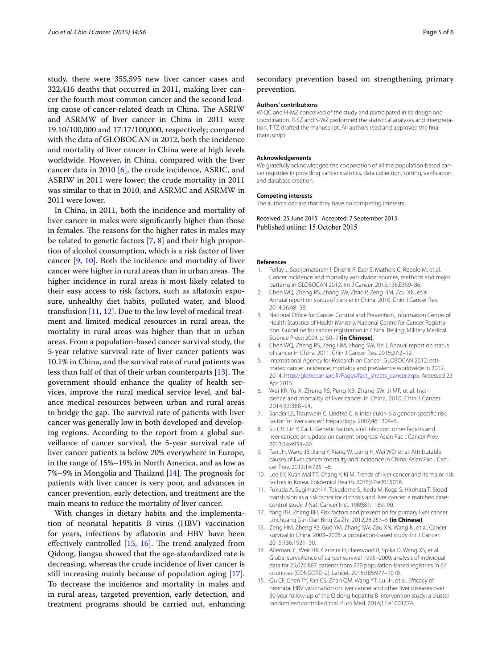study, there were 355,595 new liver cancer cases and 322,416 deaths that occurred in 2011, making liver cancer the fourth most common cancer and the second leading cause of cancer-related death in China. The ASRIW and ASRMW of liver cancer in China in 2011 were 19.10/100,000 and 17.17/100,000, respectively; compared with the data of GLOBOCAN in 2012, both the incidence and mortality of liver cancer in China were at high levels worldwide. However, in China, compared with the liver cancer data in 2010 [[6\]](#page-4-5), the crude incidence, ASRIC, and ASRIW in 2011 were lower; the crude mortality in 2011 was similar to that in 2010, and ASRMC and ASRMW in 2011 were lower.

In China, in 2011, both the incidence and mortality of liver cancer in males were significantly higher than those in females. The reasons for the higher rates in males may be related to genetic factors [\[7,](#page-4-6) [8\]](#page-4-7) and their high proportion of alcohol consumption, which is a risk factor of liver cancer [\[9](#page-4-8), [10\]](#page-4-9). Both the incidence and mortality of liver cancer were higher in rural areas than in urban areas. The higher incidence in rural areas is most likely related to their easy access to risk factors, such as aflatoxin exposure, unhealthy diet habits, polluted water, and blood transfusion [\[11](#page-4-10), [12\]](#page-4-11). Due to the low level of medical treatment and limited medical resources in rural areas, the mortality in rural areas was higher than that in urban areas. From a population-based cancer survival study, the 5-year relative survival rate of liver cancer patients was 10.1% in China, and the survival rate of rural patients was less than half of that of their urban counterparts [[13](#page-4-12)]. The government should enhance the quality of health services, improve the rural medical service level, and balance medical resources between urban and rural areas to bridge the gap. The survival rate of patients with liver cancer was generally low in both developed and developing regions. According to the report from a global surveillance of cancer survival, the 5-year survival rate of liver cancer patients is below 20% everywhere in Europe, in the range of 15%–19% in North America, and as low as 7%–9% in Mongolia and Thailand [[14](#page-4-13)]. The prognosis for patients with liver cancer is very poor, and advances in cancer prevention, early detection, and treatment are the main means to reduce the mortality of liver cancer.

With changes in dietary habits and the implementation of neonatal hepatitis B virus (HBV) vaccination for years, infections by aflatoxin and HBV have been effectively controlled [[15](#page-4-14), [16](#page-5-0)]. The trend analyzed from Qidong, Jiangsu showed that the age-standardized rate is decreasing, whereas the crude incidence of liver cancer is still increasing mainly because of population aging [\[17](#page-5-1)]. To decrease the incidence and mortality in males and in rural areas, targeted prevention, early detection, and treatment programs should be carried out, enhancing

#### secondary prevention based on strengthening primary prevention.

#### **Authors' contributions**

W-QC and H-MZ conceived of the study and participated in its design and coordination. R-SZ and S-WZ performed the statistical analyses and interpreta‑ tion. T-TZ drafted the manuscript. All authors read and approved the final manuscript.

#### **Acknowledgements**

We gratefully acknowledged the cooperation of all the population-based cancer registries in providing cancer statistics, data collection, sorting, verification, and database creation.

#### **Competing interests**

The authors declare that they have no competing interests.

Received: 25 June 2015 Accepted: 7 September 2015 Published online: 15 October 2015

#### **References**

- <span id="page-4-0"></span>1. Ferlay J, Soerjomataram I, Dikshit R, Eser S, Mathers C, Rebelo M, et al. Cancer incidence and mortality worldwide: sources, methods and major patterns in GLOBOCAN 2012. Int J Cancer. 2015;136:E359–86.
- <span id="page-4-1"></span>2. Chen WQ, Zheng RS, Zhang SW, Zhao P, Zeng HM, Zou XN, et al. Annual report on status of cancer in China, 2010. Chin J Cancer Res. 2014;26:48–58.
- <span id="page-4-2"></span>3. National Office for Cancer Control and Prevention, Information Centre of Health Statistics of Health Ministry, National Centre for Cancer Registration. Guideline for cancer registration in China. Beijing: Military Medical Science Press; 2004. p. 50–7 **(in Chinese)**.
- <span id="page-4-3"></span>4. Chen WQ, Zheng RS, Zeng HM, Zhang SW, He J. Annual report on status of cancer in China, 2011. Chin J Cancer Res. 2015;27:2–12.
- <span id="page-4-4"></span>5. International Agency for Research on Cancer. GLOBOCAN 2012: estimated cancer incidence, mortality and prevalence worldwide in 2012. 2014. [http://globocan.iarc.fr/Pages/fact\\_sheets\\_cancer.aspx](http://globocan.iarc.fr/Pages/fact_sheets_cancer.aspx). Accessed 23 Apr 2015.
- <span id="page-4-5"></span>6. Wei KR, Yu X, Zheng RS, Peng XB, Zhang SW, Ji MF, et al. Incidence and mortality of liver cancer in China, 2010. Chin J Cancer. 2014;33:388–94.
- <span id="page-4-6"></span>7. Sander LE, Trautwein C, Liedtke C. Is interleukin-6 a gender-specific risk factor for liver cancer? Hepatology. 2007;46:1304–5.
- <span id="page-4-7"></span>8. Su CH, Lin Y, Cai L. Genetic factors, viral infection, other factors and liver cancer: an update on current progress. Asian Pac J Cancer Prev. 2013;14:4953–60.
- <span id="page-4-8"></span>9. Fan JH, Wang JB, Jiang Y, Xiang W, Liang H, Wei WQ, et al. Attributable causes of liver cancer mortality and incidence in China. Asian Pac J Cancer Prev. 2013;14:7251–6.
- <span id="page-4-9"></span>10. Lee EY, Xuan Mai TT, Chang Y, Ki M. Trends of liver cancer and its major risk factors in Korea. Epidemiol Health. 2015;37:e2015016.
- <span id="page-4-10"></span>11. Fukuda A, Sugimachi K, Tokudome S, Ikeda M, Koga S, Hirohata T. Blood transfusion as a risk factor for cirrhosis and liver cancer: a matched casecontrol study. J Natl Cancer Inst. 1989;81:1189–90.
- <span id="page-4-11"></span>12. Yang BH, Zhang BH. Risk factors and prevention for primary liver cancer. Linchuang Gan Dan Bing Za Zhi. 2012;28:253–5 **(in Chinese)**.
- <span id="page-4-12"></span>13. Zeng HM, Zheng RS, Guo YM, Zhang SW, Zou XN, Wang N, et al. Cancer survival in China, 2003–2005: a population-based study. Int J Cancer. 2015;136:1921–30.
- <span id="page-4-13"></span>14. Allemani C, Weir HK, Carreira H, Harewood R, Spika D, Wang XS, et al. Global surveillance of cancer survival 1995–2009: analysis of individual data for 25,676,887 patients from 279 population-based registries in 67 countries (CONCORD-2). Lancet. 2015;385:977–1010.
- <span id="page-4-14"></span>15. Qu CF, Chen TY, Fan CS, Zhan QM, Wang YT, Lu JH, et al. Efficacy of neonatal HBV vaccination on liver cancer and other liver diseases over 30-year follow-up of the Qidong hepatitis B intervention study: a cluster randomized controlled trial. PLoS Med. 2014;11:e1001774.